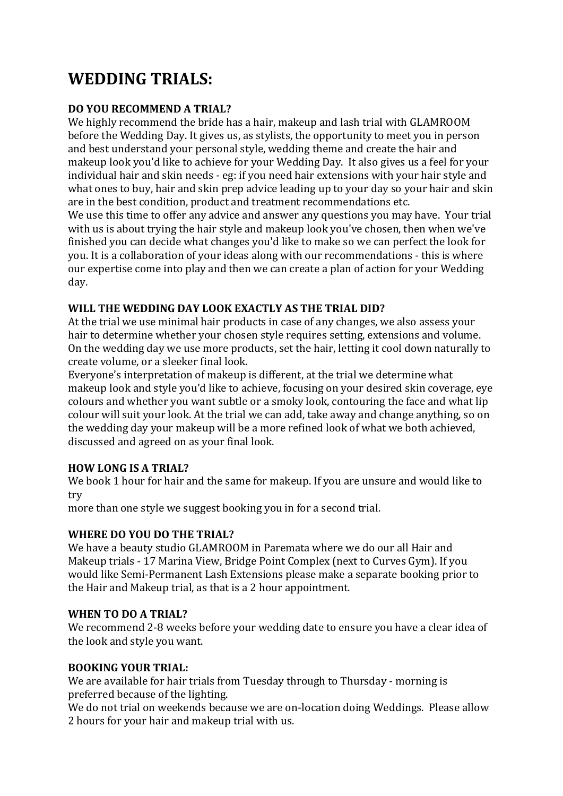# **WEDDING TRIALS:**

## **DO YOU RECOMMEND A TRIAL?**

We highly recommend the bride has a hair, makeup and lash trial with GLAMROOM before the Wedding Day. It gives us, as stylists, the opportunity to meet you in person and best understand your personal style, wedding theme and create the hair and makeup look you'd like to achieve for your Wedding Day. It also gives us a feel for your individual hair and skin needs - eg: if you need hair extensions with your hair style and what ones to buy, hair and skin prep advice leading up to your day so your hair and skin are in the best condition, product and treatment recommendations etc.

We use this time to offer any advice and answer any questions you may have. Your trial with us is about trying the hair style and makeup look you've chosen, then when we've finished you can decide what changes you'd like to make so we can perfect the look for you. It is a collaboration of your ideas along with our recommendations - this is where our expertise come into play and then we can create a plan of action for your Wedding day.

## WILL THE WEDDING DAY LOOK EXACTLY AS THE TRIAL DID?

At the trial we use minimal hair products in case of any changes, we also assess your hair to determine whether your chosen style requires setting, extensions and volume. On the wedding day we use more products, set the hair, letting it cool down naturally to create volume, or a sleeker final look.

Evervone's interpretation of makeup is different, at the trial we determine what makeup look and style you'd like to achieve, focusing on your desired skin coverage, eve colours and whether you want subtle or a smoky look, contouring the face and what lip colour will suit your look. At the trial we can add, take away and change anything, so on the wedding day your makeup will be a more refined look of what we both achieved, discussed and agreed on as your final look.

## **HOW LONG IS A TRIAL?**

We book 1 hour for hair and the same for makeup. If you are unsure and would like to try

more than one style we suggest booking you in for a second trial.

## **WHERE DO YOU DO THE TRIAL?**

We have a beauty studio GLAMROOM in Paremata where we do our all Hair and Makeup trials - 17 Marina View, Bridge Point Complex (next to Curves Gym). If you would like Semi-Permanent Lash Extensions please make a separate booking prior to the Hair and Makeup trial, as that is a 2 hour appointment.

#### **WHEN TO DO A TRIAL?**

We recommend 2-8 weeks before your wedding date to ensure you have a clear idea of the look and style you want.

## **BOOKING YOUR TRIAL:**

We are available for hair trials from Tuesday through to Thursday - morning is preferred because of the lighting.

We do not trial on weekends because we are on-location doing Weddings. Please allow 2 hours for your hair and makeup trial with us.